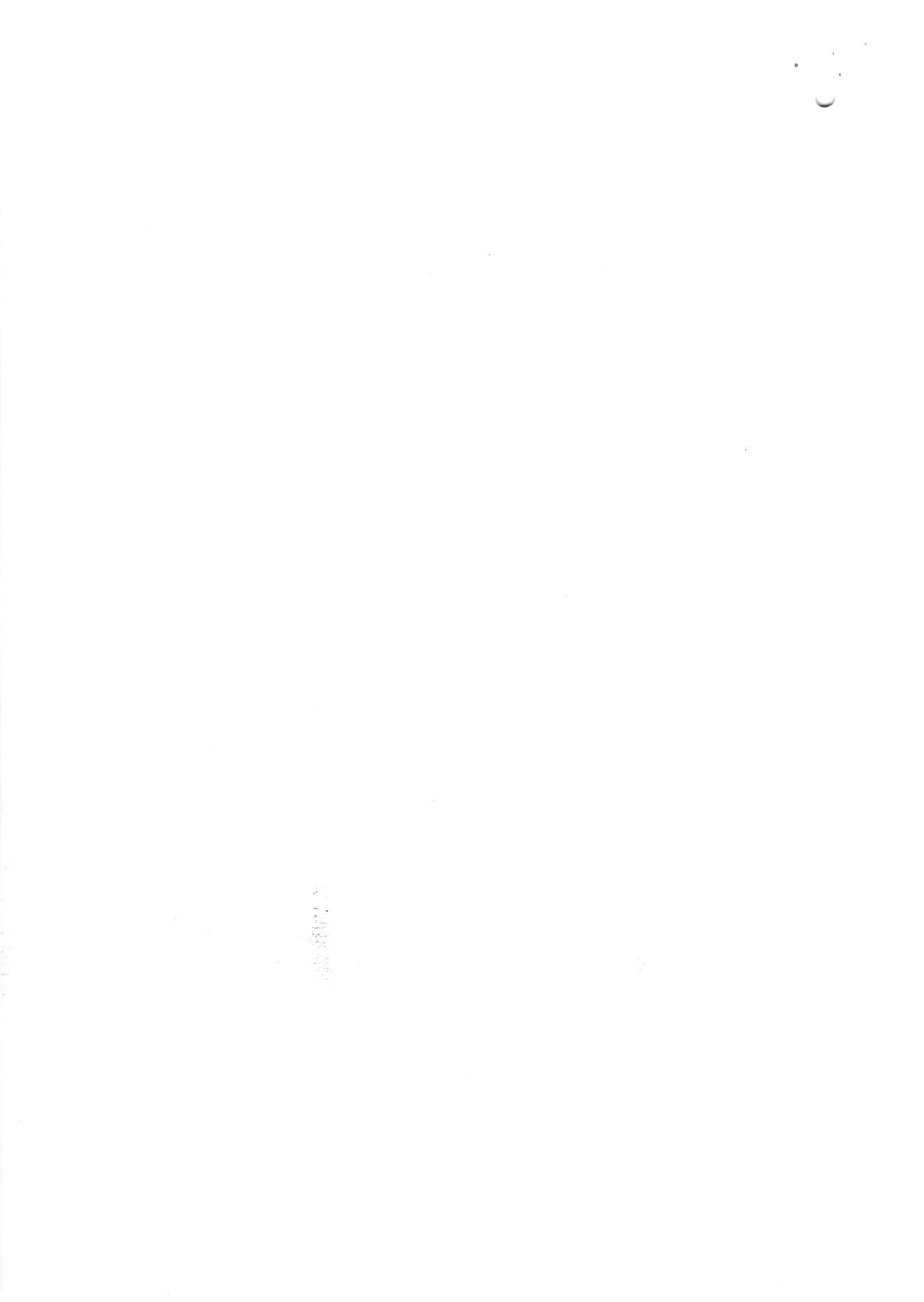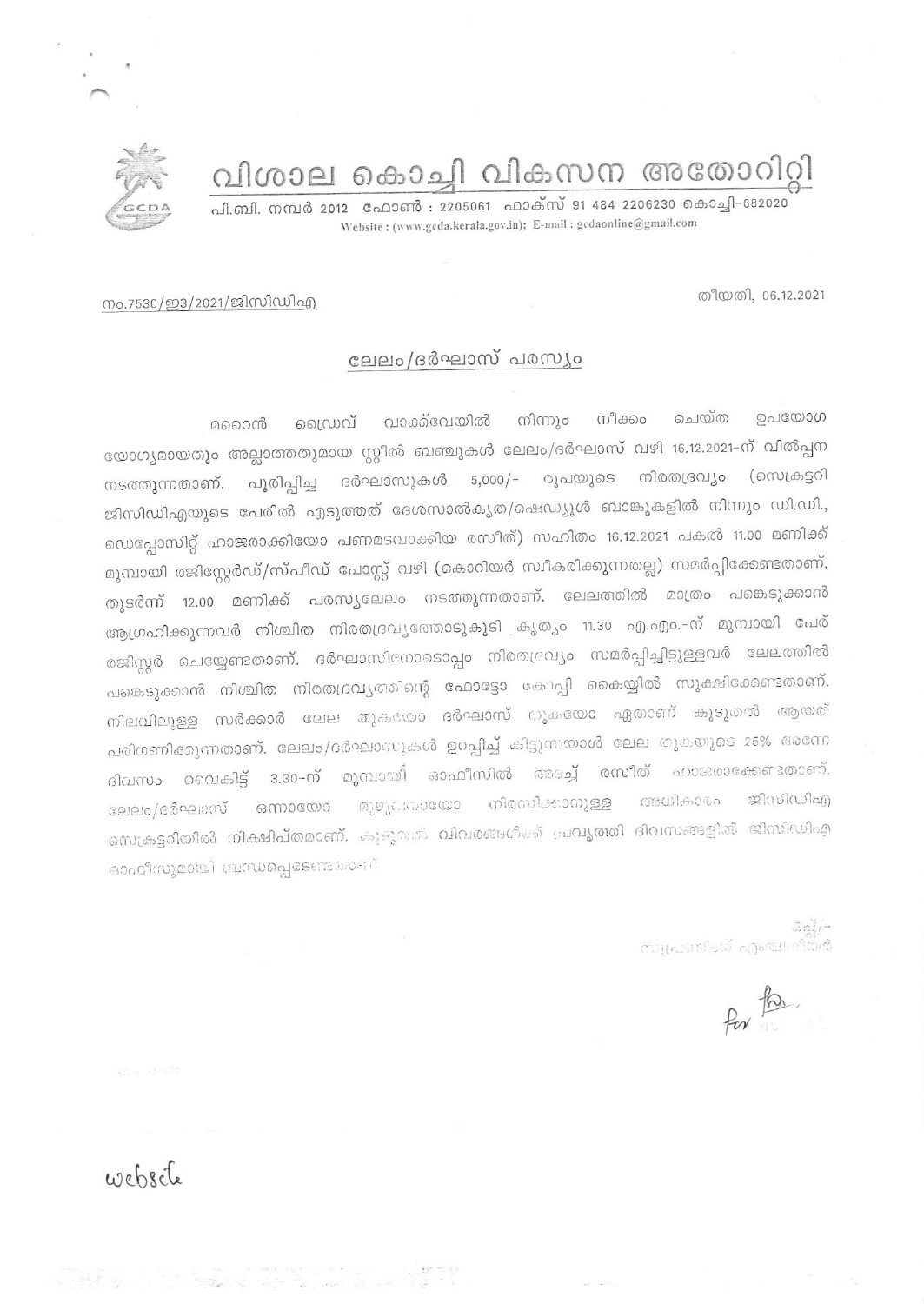

വിശാല കൊച്ചി വികസന അതോറിറ്റി

പി.ബി. നമ്പർ 2012 ഫോൺ : 2205061 ഫാക്സ് 91 484 2206230 കൊച്ചി-682020 Website: (www.gcda.kerala.gov.in); E-mail: gcdaonline@gmail.com

തീയതി, 06.12.2021

## നം.7530/ഇ3/2021/ജിസിഡിഎ

## ലേലം/ദർഘാസ് പരസ്യം

വാക്ക്വേയിൽ നിന്നും നീക്കം ചെയ്ത ഉപയോഗ ഡൈവ് മറൈൻ യോഗ്യമായതും അല്ലാത്തതുമായ സ്റ്റീൽ ബഞ്ചുകൾ ലേലം/ദർഘാസ് വഴി 16.12.2021-ന് വിൽപ്പന പൂരിപ്പിച്ച ദർഘാസുകൾ 5,000/- രൂപയുടെ നിരതദ്രവ്യം (സെക്രട്ടറി നടത്തുന്നതാണ്. ജിസിഡിഎയുടെ പേരിൽ എടുത്തത് ദേശസാൽകൃത/ഷെഡ്യൂൾ ബാങ്കുകളിൽ നിന്നും ഡി.ഡി., ഡെപ്പോസിറ്റ് ഹാജരാക്കിയോ പണമടവാക്കിയ രസീത്) സഹിതം 16.12.2021 പകൽ 11.00 മണിക്ക് മുമ്പായി രജിസ്റ്റേർഡ്/സ്പീഡ് പോസ്റ്റ് വഴി (കൊറിയർ സ്ഥീകരിക്കുന്നതല്ല) സമർപ്പിക്കേണ്ടതാണ്. തുടർന്ന് 12.00 മണിക്ക് പരസ്യലേലം നടത്തുന്നതാണ്. ലേലത്തിൽ മാത്രം പങ്കെടുക്കാൻ ആഗ്രഹിക്കുന്നവർ നിശ്ചിത നിരതദ്രവൃത്തോടുകൂടി കൃത്യം 11.30 എ.എം.-ന് മുമ്പായി പേര് രജിസ്റ്റർ ചെയ്യേണ്ടതാണ്. ദർഘാസിനോടൊപ്പം നിരതദ്രവ്യം സമർപ്പിച്ചിട്ടുള്ളവർ ലേലത്തിൽ പങ്കെടുക്കാൻ നിശ്ചിത നിരതദ്രവ്യത്തിന്റെ ഫോട്ടോ കോപ്പി കൈയ്യിൽ സൂക്ഷിക്കേണ്ടതാണ്. നിലവിലുള്ള സർക്കാർ ലേല തുകയോ ദർഘാസ് രൂകയോ ഏതാണ് കൂടുതൽ ആയത് പരിഗണിക്കുന്നതാണ്. ലേലം/ദർഘാസുകൾ ഉറപ്പിച്ച് കിട്ടുന്നയാൾ ലേല തുകയുടെ 25% അനേ ദിവസം വൈകിട്ട് 3.30-ന് മുമ്പായി ഓഫീസിൽ അടച്ച് രസീത് ഹാജരാക്കേണ്ടതാണ്. ലേലം/ഭർഘാസ് ഒന്നായോ മുഴുവനായോ നിരസിക്കാനുള്ള ജിസിഡിഎ അധികാരം സെക്രട്ടറിയിൽ നിക്ഷിപ്തമാണ്. കൂടുതൽ വിവരങ്ങൾക്ക് പ്രവൃത്തി ദിവസങ്ങളിൽ ജിസിഡിഎ ഓഫീസുമായി ബന്ധപ്പെടേണ്ടതാണ്

> $\partial g$ സുപ്രണ്ടിംഗ് എഴുപ്പിനിയർ

for the

websete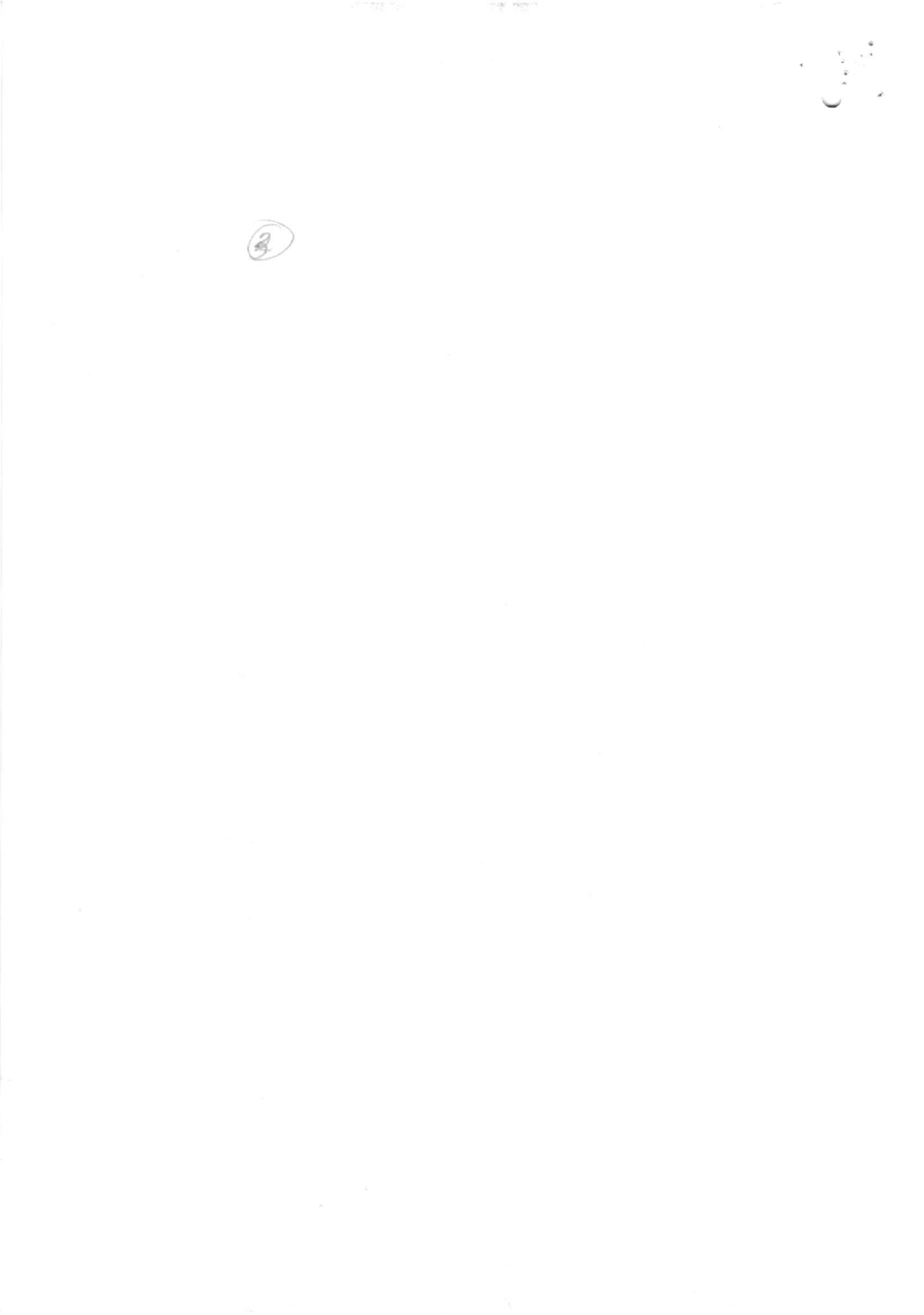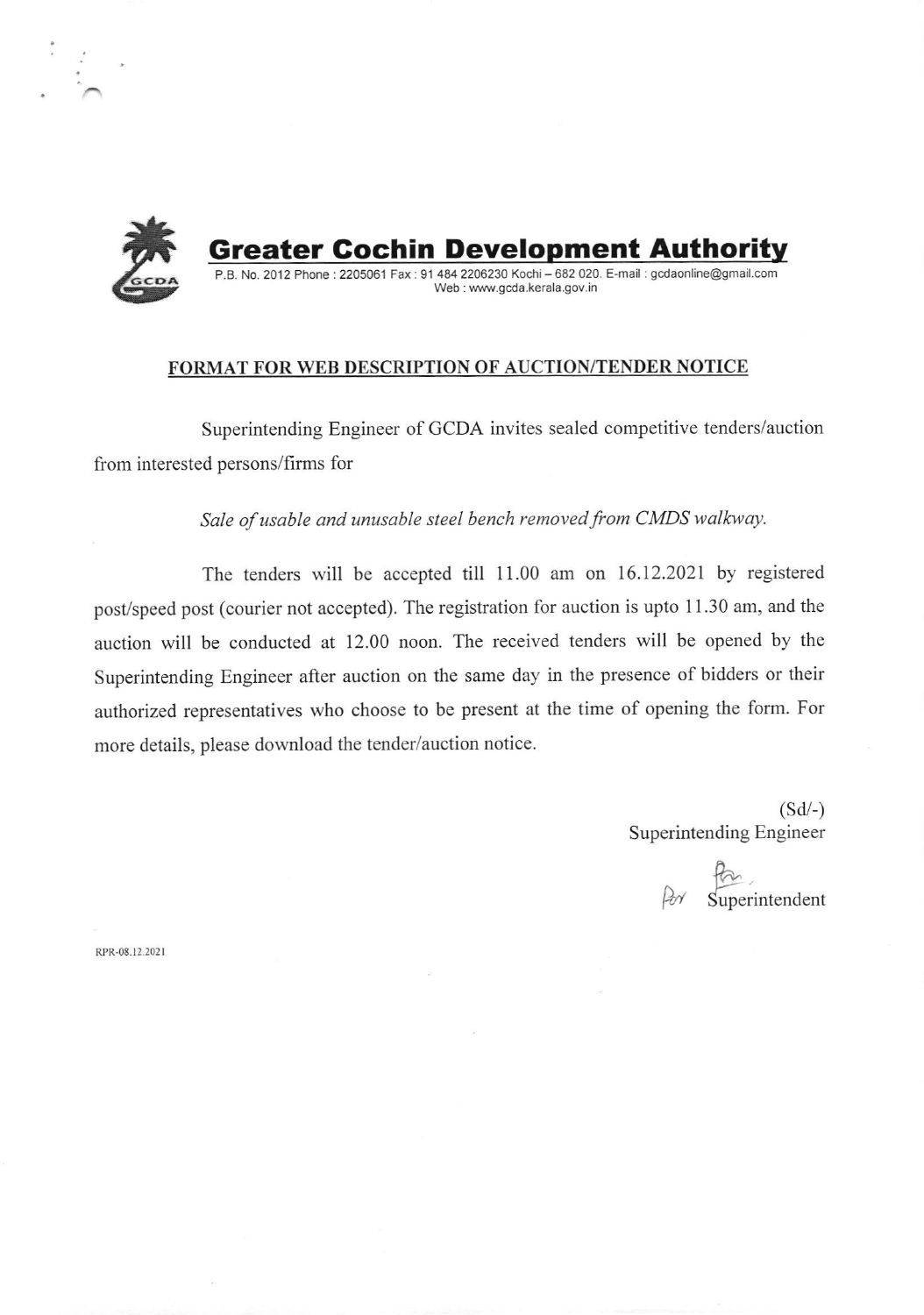

## FORMAT FOR WEB DESCRIPTION OF AUCTION/TENDER NOTICE

Superintending Engineer of GCDA invites sealed competitive tenders/auction from interested persons/firms for

Sale of usable and unusable steel bench removed from CMDS walkway.

The tenders will be accepted till 11.00 am on 16.12.2021 by registered post/speed post (courier not accepted). The registration for auction is upto 11.30 am, and the auction will be conducted at 12.00 noon. The received tenders will be opened by the Superintending Engineer after auction on the same day in the presence of bidders or their authorized representatives who choose to be present at the time of opening the form. For more details, please download the tender/auction notice.

> $(Sd/-)$ Superintending Engineer

ð  $\mathbb{R}$ Superintendent

RPR-08.12.2021